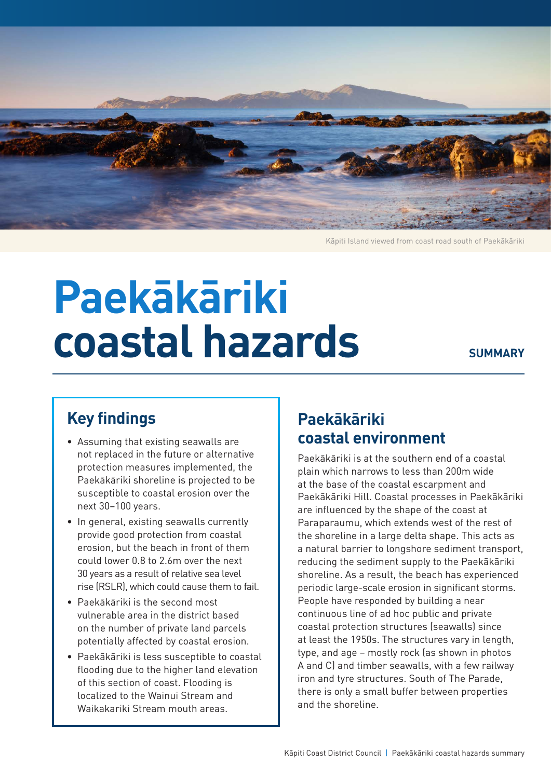

Kāpiti Island viewed from coast road south of Paekākāriki

# **Paekākāriki coastal hazards**

#### **SUMMARY**

# **Key findings**

- Assuming that existing seawalls are not replaced in the future or alternative protection measures implemented, the Paekākāriki shoreline is projected to be susceptible to coastal erosion over the next 30–100 years.
- In general, existing seawalls currently provide good protection from coastal erosion, but the beach in front of them could lower 0.8 to 2.6m over the next 30 years as a result of relative sea level rise (RSLR), which could cause them to fail.
- Paekākāriki is the second most vulnerable area in the district based on the number of private land parcels potentially affected by coastal erosion.
- Paekākāriki is less susceptible to coastal flooding due to the higher land elevation of this section of coast. Flooding is localized to the Wainui Stream and Waikakariki Stream mouth areas.

## **Paekākāriki coastal environment**

Paekākāriki is at the southern end of a coastal plain which narrows to less than 200m wide at the base of the coastal escarpment and Paekākāriki Hill. Coastal processes in Paekākāriki are influenced by the shape of the coast at Paraparaumu, which extends west of the rest of the shoreline in a large delta shape. This acts as a natural barrier to longshore sediment transport, reducing the sediment supply to the Paekākāriki shoreline. As a result, the beach has experienced periodic large-scale erosion in significant storms. People have responded by building a near continuous line of ad hoc public and private coastal protection structures (seawalls) since at least the 1950s. The structures vary in length, type, and age – mostly rock (as shown in photos A and C) and timber seawalls, with a few railway iron and tyre structures. South of The Parade, there is only a small buffer between properties and the shoreline.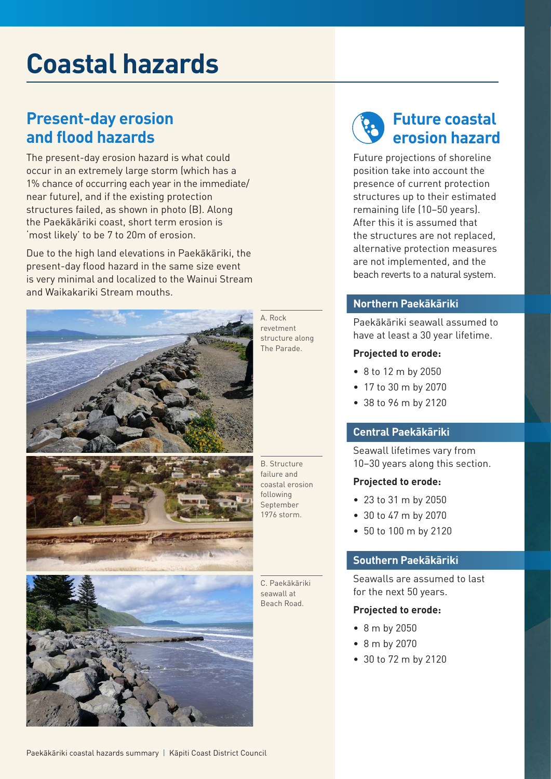# **Coastal hazards**

## **Present-day erosion and flood hazards**

The present-day erosion hazard is what could occur in an extremely large storm (which has a 1% chance of occurring each year in the immediate/ near future), and if the existing protection structures failed, as shown in photo (B). Along the Paekākāriki coast, short term erosion is 'most likely' to be 7 to 20m of erosion.

Due to the high land elevations in Paekākāriki, the present-day flood hazard in the same size event is very minimal and localized to the Wainui Stream and Waikakariki Stream mouths.



A. Rock revetment structure along The Parade.

B. Structure failure and coastal erosion following September 1976 storm.

C. Paekākāriki seawall at Beach Road.

# **Future coastal erosion hazard**

Future projections of shoreline position take into account the presence of current protection structures up to their estimated remaining life (10–50 years). After this it is assumed that the structures are not replaced, alternative protection measures are not implemented, and the beach reverts to a natural system.

#### **Northern Paekākāriki**

Paekākāriki seawall assumed to have at least a 30 year lifetime.

#### **Projected to erode:**

- 8 to 12 m by 2050
- 17 to 30 m by 2070
- 38 to 96 m by 2120

#### **Central Paekākāriki**

Seawall lifetimes vary from 10–30 years along this section.

#### **Projected to erode:**

- 23 to 31 m by 2050
- 30 to 47 m by 2070
- 50 to 100 m by 2120

#### **Southern Paekākāriki**

Seawalls are assumed to last for the next 50 years.

#### **Projected to erode:**

- 8 m by 2050
- 8 m by 2070
- 30 to 72 m by 2120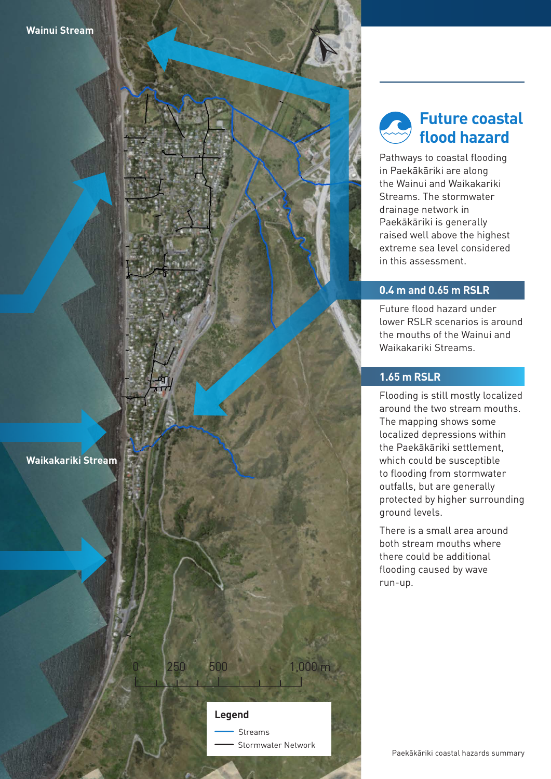**Waikakariki Stream**

**Legend** Streams Stormwater Network

0 250 500 1,000 m

# **Future coastal flood hazard**

Pathways to coastal flooding in Paekākāriki are along the Wainui and Waikakariki Streams. The stormwater drainage network in Paekākāriki is generally raised well above the highest extreme sea level considered in this assessment.

#### **0.4 m and 0.65 m RSLR**

Future flood hazard under lower RSLR scenarios is around the mouths of the Wainui and Waikakariki Streams.

#### **1.65 m RSLR**

Flooding is still mostly localized around the two stream mouths. The mapping shows some localized depressions within the Paekākāriki settlement, which could be susceptible to flooding from stormwater outfalls, but are generally protected by higher surrounding ground levels.

There is a small area around both stream mouths where there could be additional flooding caused by wave run-up.